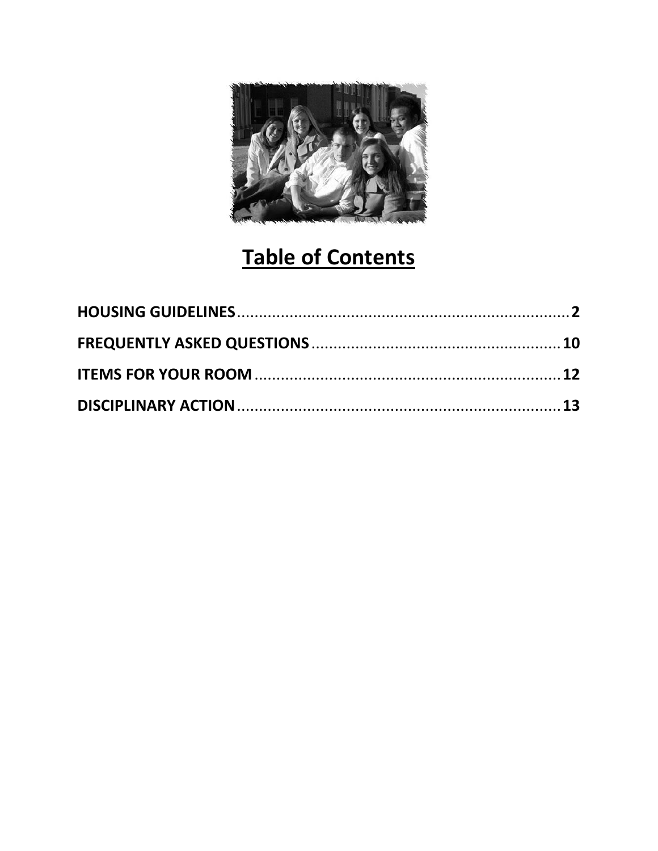

# **Table of Contents**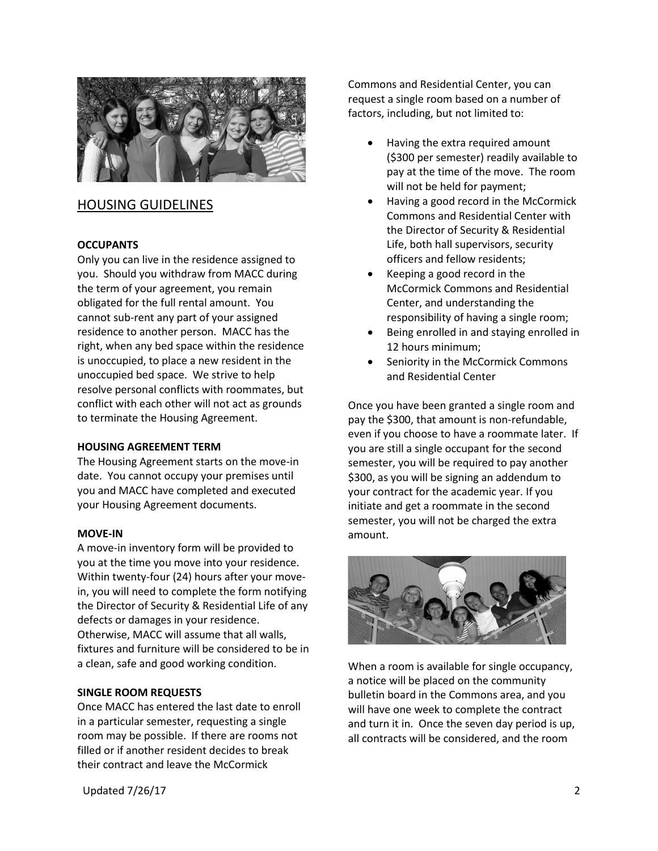

# HOUSING GUIDELINES

# **OCCUPANTS**

Only you can live in the residence assigned to you. Should you withdraw from MACC during the term of your agreement, you remain obligated for the full rental amount. You cannot sub-rent any part of your assigned residence to another person. MACC has the right, when any bed space within the residence is unoccupied, to place a new resident in the unoccupied bed space. We strive to help resolve personal conflicts with roommates, but conflict with each other will not act as grounds to terminate the Housing Agreement.

#### **HOUSING AGREEMENT TERM**

The Housing Agreement starts on the move-in date. You cannot occupy your premises until you and MACC have completed and executed your Housing Agreement documents.

#### **MOVE-IN**

A move-in inventory form will be provided to you at the time you move into your residence. Within twenty-four (24) hours after your movein, you will need to complete the form notifying the Director of Security & Residential Life of any defects or damages in your residence. Otherwise, MACC will assume that all walls, fixtures and furniture will be considered to be in a clean, safe and good working condition.

#### **SINGLE ROOM REQUESTS**

Once MACC has entered the last date to enroll in a particular semester, requesting a single room may be possible. If there are rooms not filled or if another resident decides to break their contract and leave the McCormick

Commons and Residential Center, you can request a single room based on a number of factors, including, but not limited to:

- Having the extra required amount (\$300 per semester) readily available to pay at the time of the move. The room will not be held for payment;
- Having a good record in the McCormick Commons and Residential Center with the Director of Security & Residential Life, both hall supervisors, security officers and fellow residents;
- Keeping a good record in the McCormick Commons and Residential Center, and understanding the responsibility of having a single room;
- Being enrolled in and staying enrolled in 12 hours minimum;
- Seniority in the McCormick Commons and Residential Center

Once you have been granted a single room and pay the \$300, that amount is non-refundable, even if you choose to have a roommate later. If you are still a single occupant for the second semester, you will be required to pay another \$300, as you will be signing an addendum to your contract for the academic year. If you initiate and get a roommate in the second semester, you will not be charged the extra amount.



When a room is available for single occupancy, a notice will be placed on the community bulletin board in the Commons area, and you will have one week to complete the contract and turn it in. Once the seven day period is up, all contracts will be considered, and the room

Updated 7/26/17 2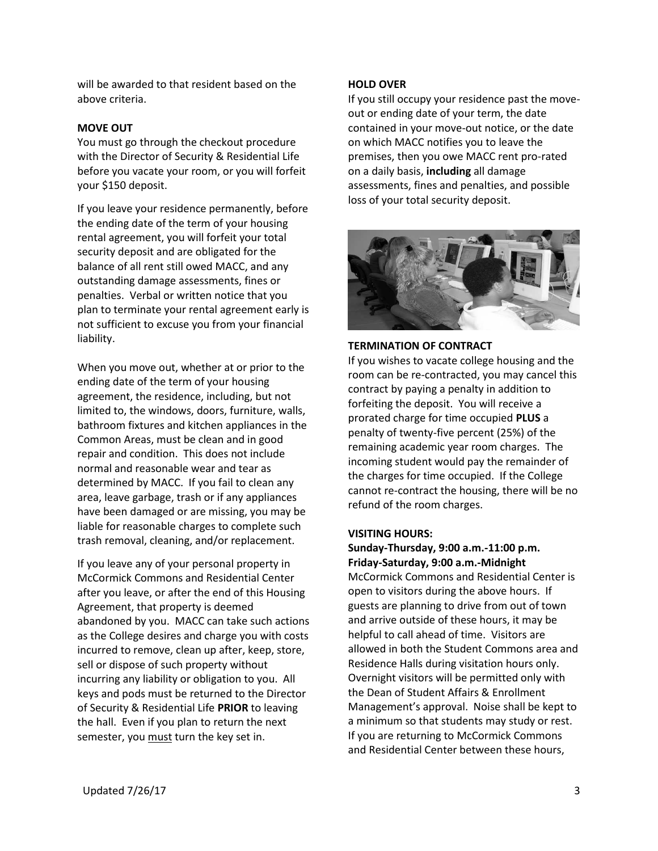will be awarded to that resident based on the above criteria.

#### **MOVE OUT**

You must go through the checkout procedure with the Director of Security & Residential Life before you vacate your room, or you will forfeit your \$150 deposit.

If you leave your residence permanently, before the ending date of the term of your housing rental agreement, you will forfeit your total security deposit and are obligated for the balance of all rent still owed MACC, and any outstanding damage assessments, fines or penalties. Verbal or written notice that you plan to terminate your rental agreement early is not sufficient to excuse you from your financial liability.

When you move out, whether at or prior to the ending date of the term of your housing agreement, the residence, including, but not limited to, the windows, doors, furniture, walls, bathroom fixtures and kitchen appliances in the Common Areas, must be clean and in good repair and condition. This does not include normal and reasonable wear and tear as determined by MACC. If you fail to clean any area, leave garbage, trash or if any appliances have been damaged or are missing, you may be liable for reasonable charges to complete such trash removal, cleaning, and/or replacement.

If you leave any of your personal property in McCormick Commons and Residential Center after you leave, or after the end of this Housing Agreement, that property is deemed abandoned by you. MACC can take such actions as the College desires and charge you with costs incurred to remove, clean up after, keep, store, sell or dispose of such property without incurring any liability or obligation to you. All keys and pods must be returned to the Director of Security & Residential Life **PRIOR** to leaving the hall. Even if you plan to return the next semester, you must turn the key set in.

#### **HOLD OVER**

If you still occupy your residence past the moveout or ending date of your term, the date contained in your move-out notice, or the date on which MACC notifies you to leave the premises, then you owe MACC rent pro-rated on a daily basis, **including** all damage assessments, fines and penalties, and possible loss of your total security deposit.



#### **TERMINATION OF CONTRACT**

If you wishes to vacate college housing and the room can be re-contracted, you may cancel this contract by paying a penalty in addition to forfeiting the deposit. You will receive a prorated charge for time occupied **PLUS** a penalty of twenty-five percent (25%) of the remaining academic year room charges. The incoming student would pay the remainder of the charges for time occupied. If the College cannot re-contract the housing, there will be no refund of the room charges.

#### **VISITING HOURS:**

**Sunday-Thursday, 9:00 a.m.-11:00 p.m. Friday-Saturday, 9:00 a.m.-Midnight** McCormick Commons and Residential Center is open to visitors during the above hours. If guests are planning to drive from out of town and arrive outside of these hours, it may be helpful to call ahead of time. Visitors are allowed in both the Student Commons area and Residence Halls during visitation hours only. Overnight visitors will be permitted only with the Dean of Student Affairs & Enrollment Management's approval. Noise shall be kept to a minimum so that students may study or rest. If you are returning to McCormick Commons and Residential Center between these hours,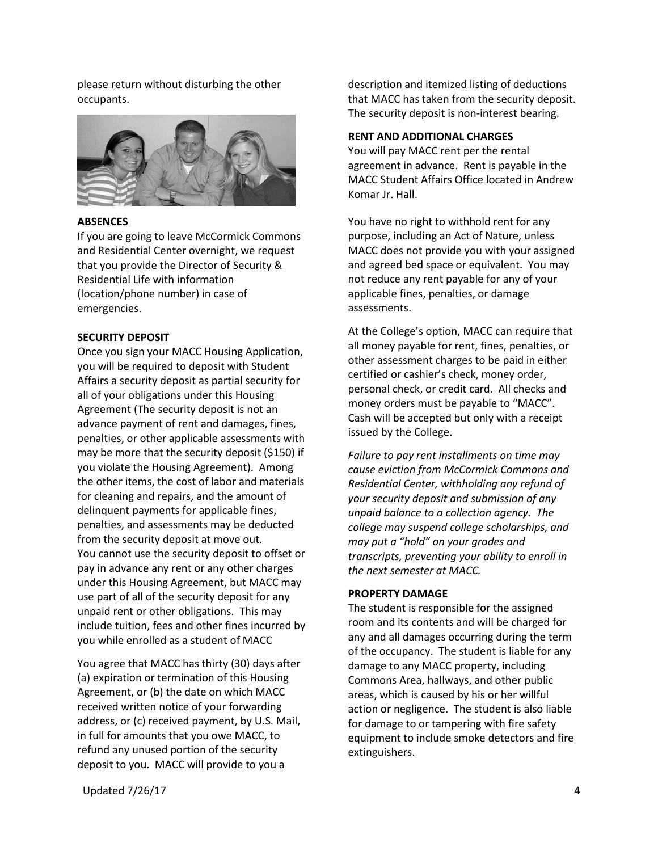please return without disturbing the other occupants.



#### **ABSENCES**

If you are going to leave McCormick Commons and Residential Center overnight, we request that you provide the Director of Security & Residential Life with information (location/phone number) in case of emergencies.

#### **SECURITY DEPOSIT**

Once you sign your MACC Housing Application, you will be required to deposit with Student Affairs a security deposit as partial security for all of your obligations under this Housing Agreement (The security deposit is not an advance payment of rent and damages, fines, penalties, or other applicable assessments with may be more that the security deposit (\$150) if you violate the Housing Agreement). Among the other items, the cost of labor and materials for cleaning and repairs, and the amount of delinquent payments for applicable fines, penalties, and assessments may be deducted from the security deposit at move out. You cannot use the security deposit to offset or pay in advance any rent or any other charges under this Housing Agreement, but MACC may use part of all of the security deposit for any unpaid rent or other obligations. This may include tuition, fees and other fines incurred by you while enrolled as a student of MACC

You agree that MACC has thirty (30) days after (a) expiration or termination of this Housing Agreement, or (b) the date on which MACC received written notice of your forwarding address, or (c) received payment, by U.S. Mail, in full for amounts that you owe MACC, to refund any unused portion of the security deposit to you. MACC will provide to you a

description and itemized listing of deductions that MACC has taken from the security deposit. The security deposit is non-interest bearing.

#### **RENT AND ADDITIONAL CHARGES**

You will pay MACC rent per the rental agreement in advance. Rent is payable in the MACC Student Affairs Office located in Andrew Komar Jr. Hall.

You have no right to withhold rent for any purpose, including an Act of Nature, unless MACC does not provide you with your assigned and agreed bed space or equivalent. You may not reduce any rent payable for any of your applicable fines, penalties, or damage assessments.

At the College's option, MACC can require that all money payable for rent, fines, penalties, or other assessment charges to be paid in either certified or cashier's check, money order, personal check, or credit card. All checks and money orders must be payable to "MACC". Cash will be accepted but only with a receipt issued by the College.

*Failure to pay rent installments on time may cause eviction from McCormick Commons and Residential Center, withholding any refund of your security deposit and submission of any unpaid balance to a collection agency. The college may suspend college scholarships, and may put a "hold" on your grades and transcripts, preventing your ability to enroll in the next semester at MACC.*

# **PROPERTY DAMAGE**

The student is responsible for the assigned room and its contents and will be charged for any and all damages occurring during the term of the occupancy. The student is liable for any damage to any MACC property, including Commons Area, hallways, and other public areas, which is caused by his or her willful action or negligence. The student is also liable for damage to or tampering with fire safety equipment to include smoke detectors and fire extinguishers.

Updated 7/26/17 4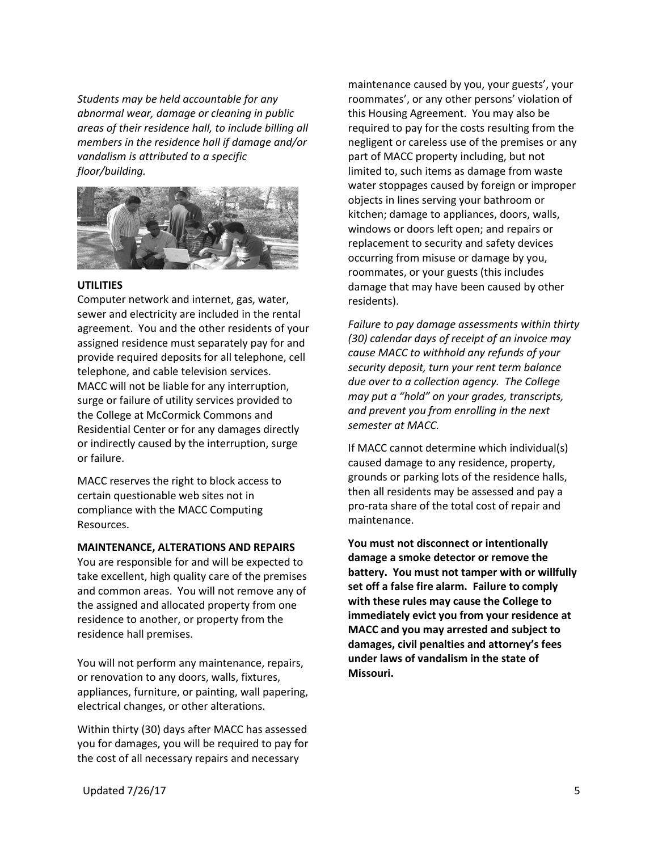*Students may be held accountable for any abnormal wear, damage or cleaning in public areas of their residence hall, to include billing all members in the residence hall if damage and/or vandalism is attributed to a specific floor/building.*



# **UTILITIES**

Computer network and internet, gas, water, sewer and electricity are included in the rental agreement. You and the other residents of your assigned residence must separately pay for and provide required deposits for all telephone, cell telephone, and cable television services. MACC will not be liable for any interruption, surge or failure of utility services provided to the College at McCormick Commons and Residential Center or for any damages directly or indirectly caused by the interruption, surge or failure.

MACC reserves the right to block access to certain questionable web sites not in compliance with the MACC Computing Resources.

#### **MAINTENANCE, ALTERATIONS AND REPAIRS**

You are responsible for and will be expected to take excellent, high quality care of the premises and common areas. You will not remove any of the assigned and allocated property from one residence to another, or property from the residence hall premises.

You will not perform any maintenance, repairs, or renovation to any doors, walls, fixtures, appliances, furniture, or painting, wall papering, electrical changes, or other alterations.

Within thirty (30) days after MACC has assessed you for damages, you will be required to pay for the cost of all necessary repairs and necessary

maintenance caused by you, your guests', your roommates', or any other persons' violation of this Housing Agreement. You may also be required to pay for the costs resulting from the negligent or careless use of the premises or any part of MACC property including, but not limited to, such items as damage from waste water stoppages caused by foreign or improper objects in lines serving your bathroom or kitchen; damage to appliances, doors, walls, windows or doors left open; and repairs or replacement to security and safety devices occurring from misuse or damage by you, roommates, or your guests (this includes damage that may have been caused by other residents).

*Failure to pay damage assessments within thirty (30) calendar days of receipt of an invoice may cause MACC to withhold any refunds of your security deposit, turn your rent term balance due over to a collection agency. The College may put a "hold" on your grades, transcripts, and prevent you from enrolling in the next semester at MACC.*

If MACC cannot determine which individual(s) caused damage to any residence, property, grounds or parking lots of the residence halls, then all residents may be assessed and pay a pro-rata share of the total cost of repair and maintenance.

**You must not disconnect or intentionally damage a smoke detector or remove the battery. You must not tamper with or willfully set off a false fire alarm. Failure to comply with these rules may cause the College to immediately evict you from your residence at MACC and you may arrested and subject to damages, civil penalties and attorney's fees under laws of vandalism in the state of Missouri.**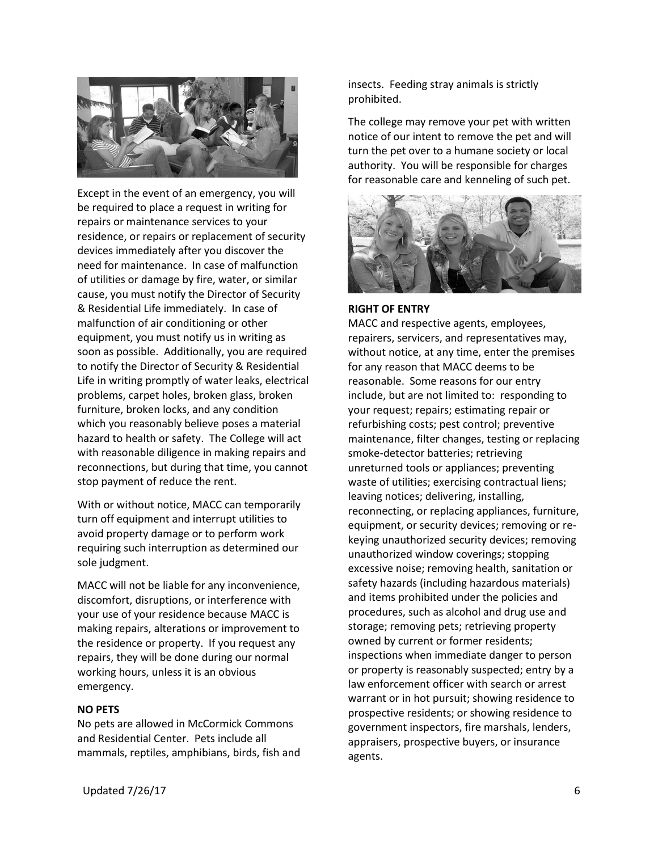

Except in the event of an emergency, you will be required to place a request in writing for repairs or maintenance services to your residence, or repairs or replacement of security devices immediately after you discover the need for maintenance. In case of malfunction of utilities or damage by fire, water, or similar cause, you must notify the Director of Security & Residential Life immediately. In case of malfunction of air conditioning or other equipment, you must notify us in writing as soon as possible. Additionally, you are required to notify the Director of Security & Residential Life in writing promptly of water leaks, electrical problems, carpet holes, broken glass, broken furniture, broken locks, and any condition which you reasonably believe poses a material hazard to health or safety. The College will act with reasonable diligence in making repairs and reconnections, but during that time, you cannot stop payment of reduce the rent.

With or without notice, MACC can temporarily turn off equipment and interrupt utilities to avoid property damage or to perform work requiring such interruption as determined our sole judgment.

MACC will not be liable for any inconvenience, discomfort, disruptions, or interference with your use of your residence because MACC is making repairs, alterations or improvement to the residence or property. If you request any repairs, they will be done during our normal working hours, unless it is an obvious emergency.

#### **NO PETS**

No pets are allowed in McCormick Commons and Residential Center. Pets include all mammals, reptiles, amphibians, birds, fish and insects. Feeding stray animals is strictly prohibited.

The college may remove your pet with written notice of our intent to remove the pet and will turn the pet over to a humane society or local authority. You will be responsible for charges for reasonable care and kenneling of such pet.



# **RIGHT OF ENTRY**

MACC and respective agents, employees, repairers, servicers, and representatives may, without notice, at any time, enter the premises for any reason that MACC deems to be reasonable. Some reasons for our entry include, but are not limited to: responding to your request; repairs; estimating repair or refurbishing costs; pest control; preventive maintenance, filter changes, testing or replacing smoke-detector batteries; retrieving unreturned tools or appliances; preventing waste of utilities; exercising contractual liens; leaving notices; delivering, installing, reconnecting, or replacing appliances, furniture, equipment, or security devices; removing or rekeying unauthorized security devices; removing unauthorized window coverings; stopping excessive noise; removing health, sanitation or safety hazards (including hazardous materials) and items prohibited under the policies and procedures, such as alcohol and drug use and storage; removing pets; retrieving property owned by current or former residents; inspections when immediate danger to person or property is reasonably suspected; entry by a law enforcement officer with search or arrest warrant or in hot pursuit; showing residence to prospective residents; or showing residence to government inspectors, fire marshals, lenders, appraisers, prospective buyers, or insurance agents.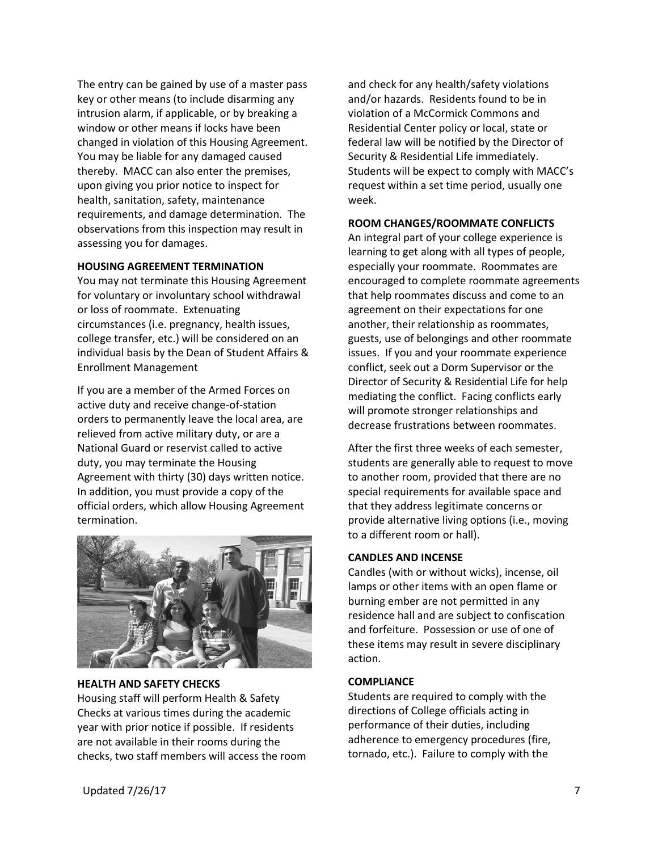The entry can be gained by use of a master pass key or other means (to include disarming any intrusion alarm, if applicable, or by breaking a window or other means if locks have been changed in violation of this Housing Agreement. You may be liable for any damaged caused thereby. MACC can also enter the premises, upon giving you prior notice to inspect for health, sanitation, safety, maintenance requirements, and damage determination. The observations from this inspection may result in assessing you for damages.

#### **HOUSING AGREEMENT TERMINATION**

You may not terminate this Housing Agreement for voluntary or involuntary school withdrawal or loss of roommate. Extenuating circumstances (i.e. pregnancy, health issues, college transfer, etc.) will be considered on an individual basis by the Dean of Student Affairs & Enrollment Management

If you are a member of the Armed Forces on active duty and receive change-of-station orders to permanently leave the local area, are relieved from active military duty, or are a National Guard or reservist called to active duty, you may terminate the Housing Agreement with thirty (30) days written notice. In addition, you must provide a copy of the official orders, which allow Housing Agreement termination.



#### **HEALTH AND SAFETY CHECKS**

Housing staff will perform Health & Safety Checks at various times during the academic year with prior notice if possible. If residents are not available in their rooms during the checks, two staff members will access the room and check for any health/safety violations and/or hazards. Residents found to be in violation of a McCormick Commons and Residential Center policy or local, state or federal law will be notified by the Director of Security & Residential Life immediately. Students will be expect to comply with MACC's request within a set time period, usually one week.

#### **ROOM CHANGES/ROOMMATE CONFLICTS**

An integral part of your college experience is learning to get along with all types of people, especially your roommate. Roommates are encouraged to complete roommate agreements that help roommates discuss and come to an agreement on their expectations for one another, their relationship as roommates, guests, use of belongings and other roommate issues. If you and your roommate experience conflict, seek out a Dorm Supervisor or the Director of Security & Residential Life for help mediating the conflict. Facing conflicts early will promote stronger relationships and decrease frustrations between roommates.

After the first three weeks of each semester, students are generally able to request to move to another room, provided that there are no special requirements for available space and that they address legitimate concerns or provide alternative living options (i.e., moving to a different room or hall).

#### **CANDLES AND INCENSE**

Candles (with or without wicks), incense, oil lamps or other items with an open flame or burning ember are not permitted in any residence hall and are subject to confiscation and forfeiture. Possession or use of one of these items may result in severe disciplinary action.

#### **COMPLIANCE**

Students are required to comply with the directions of College officials acting in performance of their duties, including adherence to emergency procedures (fire, tornado, etc.). Failure to comply with the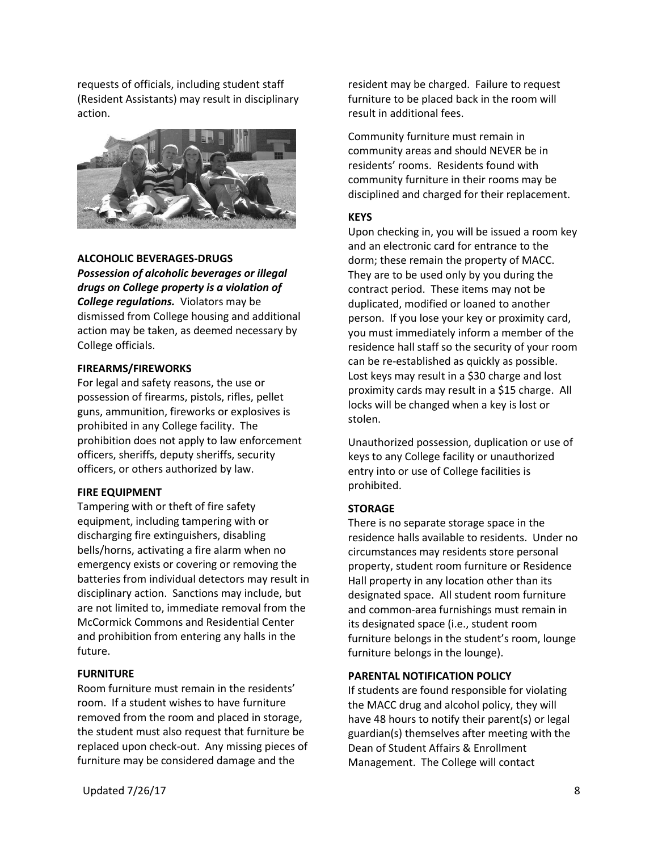requests of officials, including student staff (Resident Assistants) may result in disciplinary action.



#### **ALCOHOLIC BEVERAGES-DRUGS**

*Possession of alcoholic beverages or illegal drugs on College property is a violation of College regulations.* Violators may be dismissed from College housing and additional action may be taken, as deemed necessary by College officials.

#### **FIREARMS/FIREWORKS**

For legal and safety reasons, the use or possession of firearms, pistols, rifles, pellet guns, ammunition, fireworks or explosives is prohibited in any College facility. The prohibition does not apply to law enforcement officers, sheriffs, deputy sheriffs, security officers, or others authorized by law.

#### **FIRE EQUIPMENT**

Tampering with or theft of fire safety equipment, including tampering with or discharging fire extinguishers, disabling bells/horns, activating a fire alarm when no emergency exists or covering or removing the batteries from individual detectors may result in disciplinary action. Sanctions may include, but are not limited to, immediate removal from the McCormick Commons and Residential Center and prohibition from entering any halls in the future.

# **FURNITURE**

Room furniture must remain in the residents' room. If a student wishes to have furniture removed from the room and placed in storage, the student must also request that furniture be replaced upon check-out. Any missing pieces of furniture may be considered damage and the

resident may be charged. Failure to request furniture to be placed back in the room will result in additional fees.

Community furniture must remain in community areas and should NEVER be in residents' rooms. Residents found with community furniture in their rooms may be disciplined and charged for their replacement.

#### **KEYS**

Upon checking in, you will be issued a room key and an electronic card for entrance to the dorm; these remain the property of MACC. They are to be used only by you during the contract period. These items may not be duplicated, modified or loaned to another person. If you lose your key or proximity card, you must immediately inform a member of the residence hall staff so the security of your room can be re-established as quickly as possible. Lost keys may result in a \$30 charge and lost proximity cards may result in a \$15 charge. All locks will be changed when a key is lost or stolen.

Unauthorized possession, duplication or use of keys to any College facility or unauthorized entry into or use of College facilities is prohibited.

#### **STORAGE**

There is no separate storage space in the residence halls available to residents. Under no circumstances may residents store personal property, student room furniture or Residence Hall property in any location other than its designated space. All student room furniture and common-area furnishings must remain in its designated space (i.e., student room furniture belongs in the student's room, lounge furniture belongs in the lounge).

#### **PARENTAL NOTIFICATION POLICY**

If students are found responsible for violating the MACC drug and alcohol policy, they will have 48 hours to notify their parent(s) or legal guardian(s) themselves after meeting with the Dean of Student Affairs & Enrollment Management. The College will contact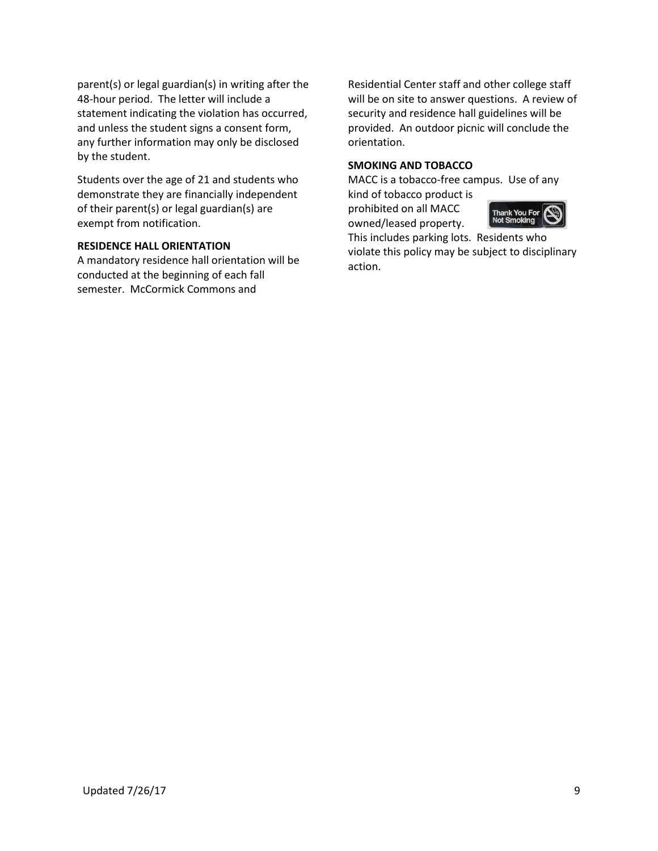parent(s) or legal guardian(s) in writing after the 48-hour period. The letter will include a statement indicating the violation has occurred, and unless the student signs a consent form, any further information may only be disclosed by the student.

Students over the age of 21 and students who demonstrate they are financially independent of their parent(s) or legal guardian(s) are exempt from notification.

## **RESIDENCE HALL ORIENTATION**

A mandatory residence hall orientation will be conducted at the beginning of each fall semester. McCormick Commons and

Residential Center staff and other college staff will be on site to answer questions. A review of security and residence hall guidelines will be provided. An outdoor picnic will conclude the orientation.

# **SMOKING AND TOBACCO**

MACC is a tobacco-free campus. Use of any kind of tobacco product is

prohibited on all MACC owned/leased property.



This includes parking lots. Residents who violate this policy may be subject to disciplinary action.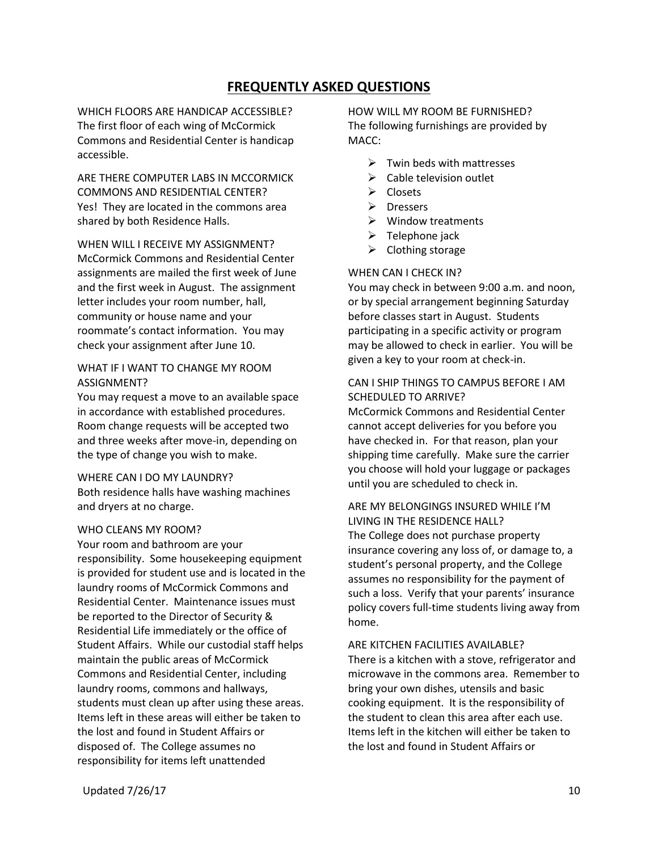# **FREQUENTLY ASKED QUESTIONS**

WHICH FLOORS ARE HANDICAP ACCESSIBLE? The first floor of each wing of McCormick Commons and Residential Center is handicap accessible.

ARE THERE COMPUTER LABS IN MCCORMICK COMMONS AND RESIDENTIAL CENTER? Yes! They are located in the commons area shared by both Residence Halls.

WHEN WILL I RECEIVE MY ASSIGNMENT? McCormick Commons and Residential Center assignments are mailed the first week of June and the first week in August. The assignment letter includes your room number, hall, community or house name and your roommate's contact information. You may check your assignment after June 10.

# WHAT IF I WANT TO CHANGE MY ROOM ASSIGNMENT?

You may request a move to an available space in accordance with established procedures. Room change requests will be accepted two and three weeks after move-in, depending on the type of change you wish to make.

# WHERE CAN I DO MY LAUNDRY?

Both residence halls have washing machines and dryers at no charge.

#### WHO CLEANS MY ROOM?

Your room and bathroom are your responsibility. Some housekeeping equipment is provided for student use and is located in the laundry rooms of McCormick Commons and Residential Center. Maintenance issues must be reported to the Director of Security & Residential Life immediately or the office of Student Affairs. While our custodial staff helps maintain the public areas of McCormick Commons and Residential Center, including laundry rooms, commons and hallways, students must clean up after using these areas. Items left in these areas will either be taken to the lost and found in Student Affairs or disposed of. The College assumes no responsibility for items left unattended

HOW WILL MY ROOM BE FURNISHED? The following furnishings are provided by MACC:

- $\triangleright$  Twin beds with mattresses
- $\triangleright$  Cable television outlet
- $\triangleright$  Closets
- $\triangleright$  Dressers
- $\triangleright$  Window treatments
- $\triangleright$  Telephone jack
- $\triangleright$  Clothing storage

#### WHEN CAN I CHECK IN?

You may check in between 9:00 a.m. and noon, or by special arrangement beginning Saturday before classes start in August. Students participating in a specific activity or program may be allowed to check in earlier. You will be given a key to your room at check-in.

# CAN I SHIP THINGS TO CAMPUS BEFORE I AM SCHEDULED TO ARRIVE?

McCormick Commons and Residential Center cannot accept deliveries for you before you have checked in. For that reason, plan your shipping time carefully. Make sure the carrier you choose will hold your luggage or packages until you are scheduled to check in.

ARE MY BELONGINGS INSURED WHILE I'M LIVING IN THE RESIDENCE HALL? The College does not purchase property insurance covering any loss of, or damage to, a student's personal property, and the College assumes no responsibility for the payment of such a loss. Verify that your parents' insurance policy covers full-time students living away from home.

ARE KITCHEN FACILITIES AVAILABLE? There is a kitchen with a stove, refrigerator and microwave in the commons area. Remember to bring your own dishes, utensils and basic cooking equipment. It is the responsibility of the student to clean this area after each use. Items left in the kitchen will either be taken to the lost and found in Student Affairs or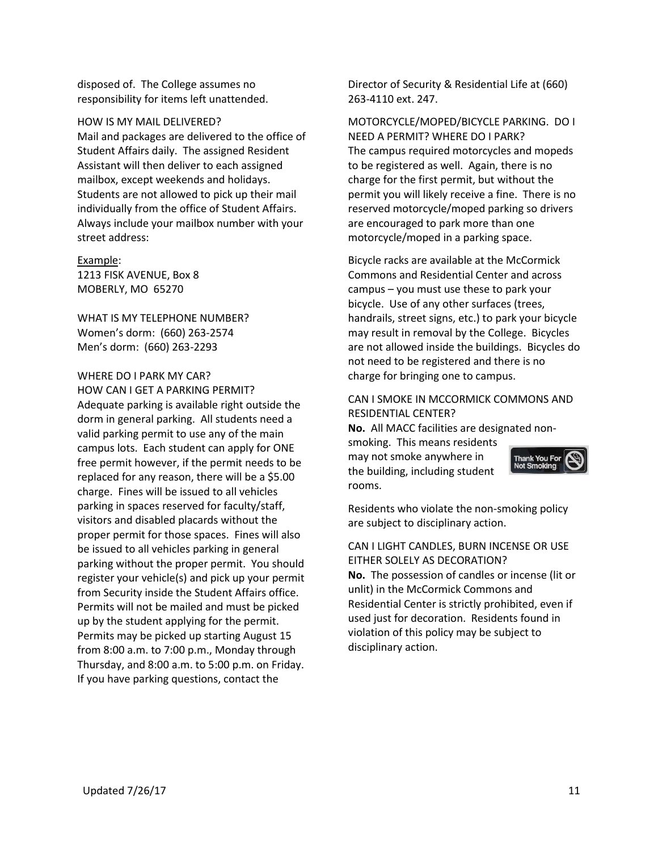disposed of. The College assumes no responsibility for items left unattended.

HOW IS MY MAIL DELIVERED? Mail and packages are delivered to the office of Student Affairs daily. The assigned Resident Assistant will then deliver to each assigned mailbox, except weekends and holidays. Students are not allowed to pick up their mail individually from the office of Student Affairs. Always include your mailbox number with your street address:

Example: 1213 FISK AVENUE, Box 8 MOBERLY, MO 65270

WHAT IS MY TELEPHONE NUMBER? Women's dorm: (660) 263-2574 Men's dorm: (660) 263-2293

#### WHERE DO I PARK MY CAR?

HOW CAN I GET A PARKING PERMIT? Adequate parking is available right outside the dorm in general parking. All students need a valid parking permit to use any of the main campus lots. Each student can apply for ONE free permit however, if the permit needs to be replaced for any reason, there will be a \$5.00 charge. Fines will be issued to all vehicles parking in spaces reserved for faculty/staff, visitors and disabled placards without the proper permit for those spaces. Fines will also be issued to all vehicles parking in general parking without the proper permit. You should register your vehicle(s) and pick up your permit from Security inside the Student Affairs office. Permits will not be mailed and must be picked up by the student applying for the permit. Permits may be picked up starting August 15 from 8:00 a.m. to 7:00 p.m., Monday through Thursday, and 8:00 a.m. to 5:00 p.m. on Friday. If you have parking questions, contact the

Director of Security & Residential Life at (660) 263-4110 ext. 247.

MOTORCYCLE/MOPED/BICYCLE PARKING. DO I NEED A PERMIT? WHERE DO I PARK? The campus required motorcycles and mopeds to be registered as well. Again, there is no charge for the first permit, but without the permit you will likely receive a fine. There is no reserved motorcycle/moped parking so drivers are encouraged to park more than one motorcycle/moped in a parking space.

Bicycle racks are available at the McCormick Commons and Residential Center and across campus – you must use these to park your bicycle. Use of any other surfaces (trees, handrails, street signs, etc.) to park your bicycle may result in removal by the College. Bicycles are not allowed inside the buildings. Bicycles do not need to be registered and there is no charge for bringing one to campus.

# CAN I SMOKE IN MCCORMICK COMMONS AND RESIDENTIAL CENTER?

**No.** All MACC facilities are designated nonsmoking. This means residents may not smoke anywhere in the building, including student rooms.

Thank <mark>You For</mark><br>Not Smoking

Residents who violate the non-smoking policy are subject to disciplinary action.

CAN I LIGHT CANDLES, BURN INCENSE OR USE EITHER SOLELY AS DECORATION? **No.** The possession of candles or incense (lit or unlit) in the McCormick Commons and Residential Center is strictly prohibited, even if used just for decoration. Residents found in violation of this policy may be subject to disciplinary action.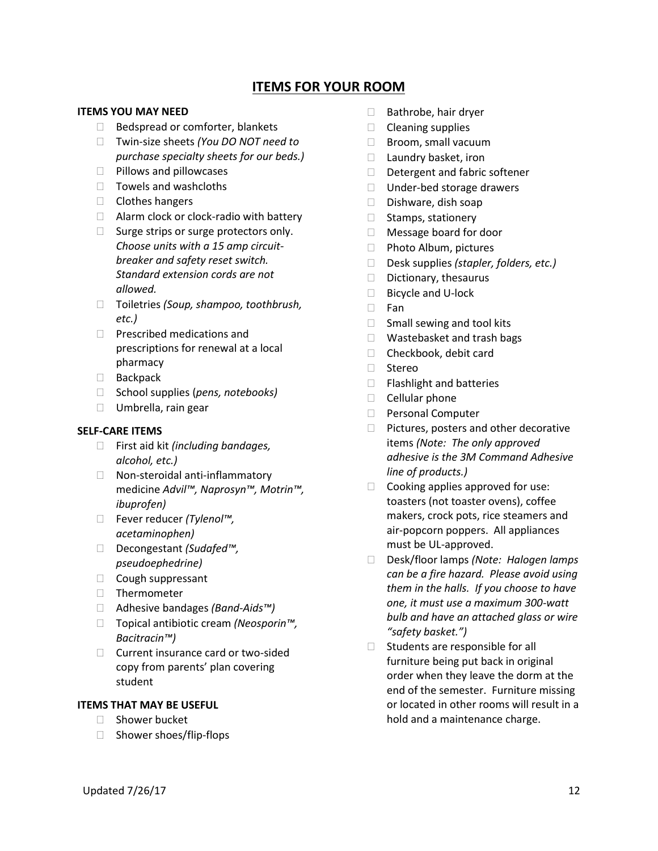# **ITEMS FOR YOUR ROOM**

# **ITEMS YOU MAY NEED**

- $\Box$  Bedspread or comforter, blankets
- Twin-size sheets *(You DO NOT need to purchase specialty sheets for our beds.)*
- $\Box$  Pillows and pillowcases
- $\Box$  Towels and washcloths
- $\Box$  Clothes hangers
- $\Box$  Alarm clock or clock-radio with battery
- $\Box$  Surge strips or surge protectors only. *Choose units with a 15 amp circuitbreaker and safety reset switch. Standard extension cords are not allowed.*
- Toiletries *(Soup, shampoo, toothbrush, etc.)*
- $\Box$  Prescribed medications and prescriptions for renewal at a local pharmacy
- Backpack
- □ School supplies (*pens, notebooks*)
- □ Umbrella, rain gear

## **SELF-CARE ITEMS**

- First aid kit *(including bandages, alcohol, etc.)*
- □ Non-steroidal anti-inflammatory medicine *Advil™, Naprosyn™, Motrin™, ibuprofen)*
- Fever reducer *(Tylenol™, acetaminophen)*
- Decongestant *(Sudafed™, pseudoephedrine)*
- Cough suppressant
- $\Box$  Thermometer
- Adhesive bandages *(Band-Aids™)*
- Topical antibiotic cream *(Neosporin™, Bacitracin™)*
- $\Box$  Current insurance card or two-sided copy from parents' plan covering student

# **ITEMS THAT MAY BE USEFUL**

- □ Shower bucket
- □ Shower shoes/flip-flops
- $\Box$  Bathrobe, hair dryer
- $\Box$  Cleaning supplies
- $\Box$  Broom, small vacuum
- $\Box$  Laundry basket, iron
- $\Box$  Detergent and fabric softener
- $\Box$  Under-bed storage drawers
- $\Box$  Dishware, dish soap
- $\Box$  Stamps, stationery
- Message board for door
- □ Photo Album, pictures
- Desk supplies *(stapler, folders, etc.)*
- $\Box$  Dictionary, thesaurus
- □ Bicycle and U-lock
- □ Fan
- $\Box$  Small sewing and tool kits
- □ Wastebasket and trash bags
- □ Checkbook, debit card
- □ Stereo
- $\Box$  Flashlight and batteries
- $\Box$  Cellular phone
- □ Personal Computer
- $\Box$  Pictures, posters and other decorative items *(Note: The only approved adhesive is the 3M Command Adhesive line of products.)*
- $\Box$  Cooking applies approved for use: toasters (not toaster ovens), coffee makers, crock pots, rice steamers and air-popcorn poppers. All appliances must be UL-approved.
- Desk/floor lamps *(Note: Halogen lamps can be a fire hazard. Please avoid using them in the halls. If you choose to have one, it must use a maximum 300-watt bulb and have an attached glass or wire "safety basket.")*
- $\Box$  Students are responsible for all furniture being put back in original order when they leave the dorm at the end of the semester. Furniture missing or located in other rooms will result in a hold and a maintenance charge.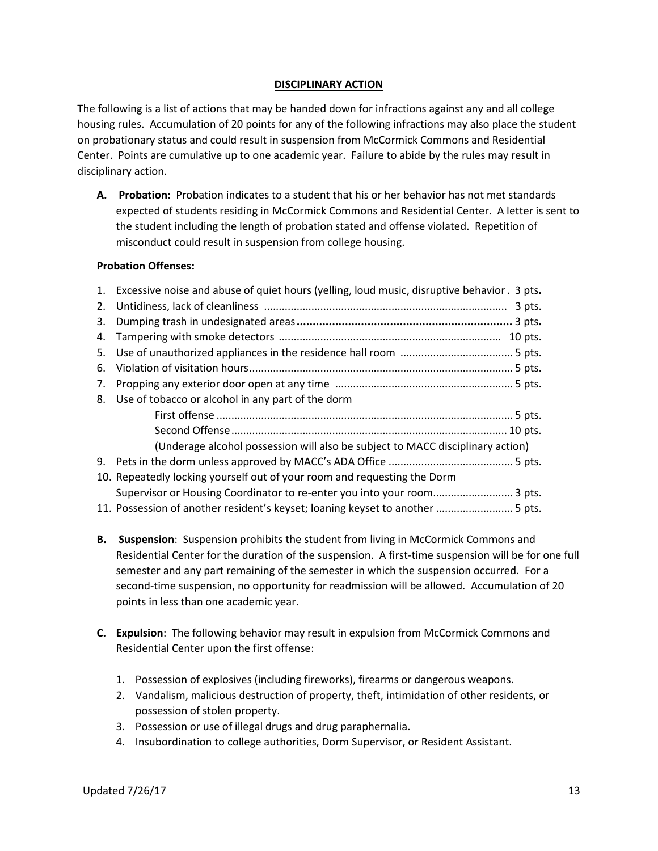# **DISCIPLINARY ACTION**

The following is a list of actions that may be handed down for infractions against any and all college housing rules. Accumulation of 20 points for any of the following infractions may also place the student on probationary status and could result in suspension from McCormick Commons and Residential Center. Points are cumulative up to one academic year. Failure to abide by the rules may result in disciplinary action.

**A. Probation:** Probation indicates to a student that his or her behavior has not met standards expected of students residing in McCormick Commons and Residential Center. A letter is sent to the student including the length of probation stated and offense violated. Repetition of misconduct could result in suspension from college housing.

# **Probation Offenses:**

|    | 1. Excessive noise and abuse of quiet hours (yelling, loud music, disruptive behavior . 3 pts. |
|----|------------------------------------------------------------------------------------------------|
|    | 3 pts.                                                                                         |
| 3. |                                                                                                |
| 4. |                                                                                                |
| 5. |                                                                                                |
| 6. |                                                                                                |
|    |                                                                                                |
|    | 8. Use of tobacco or alcohol in any part of the dorm                                           |
|    |                                                                                                |
|    |                                                                                                |
|    | (Underage alcohol possession will also be subject to MACC disciplinary action)                 |
|    |                                                                                                |
|    | 10. Repeatedly locking yourself out of your room and requesting the Dorm                       |
|    | Supervisor or Housing Coordinator to re-enter you into your room 3 pts.                        |
|    | 11. Possession of another resident's keyset; loaning keyset to another  5 pts.                 |

- **B. Suspension**: Suspension prohibits the student from living in McCormick Commons and Residential Center for the duration of the suspension. A first-time suspension will be for one full semester and any part remaining of the semester in which the suspension occurred. For a second-time suspension, no opportunity for readmission will be allowed. Accumulation of 20 points in less than one academic year.
- **C. Expulsion**: The following behavior may result in expulsion from McCormick Commons and Residential Center upon the first offense:
	- 1. Possession of explosives (including fireworks), firearms or dangerous weapons.
	- 2. Vandalism, malicious destruction of property, theft, intimidation of other residents, or possession of stolen property.
	- 3. Possession or use of illegal drugs and drug paraphernalia.
	- 4. Insubordination to college authorities, Dorm Supervisor, or Resident Assistant.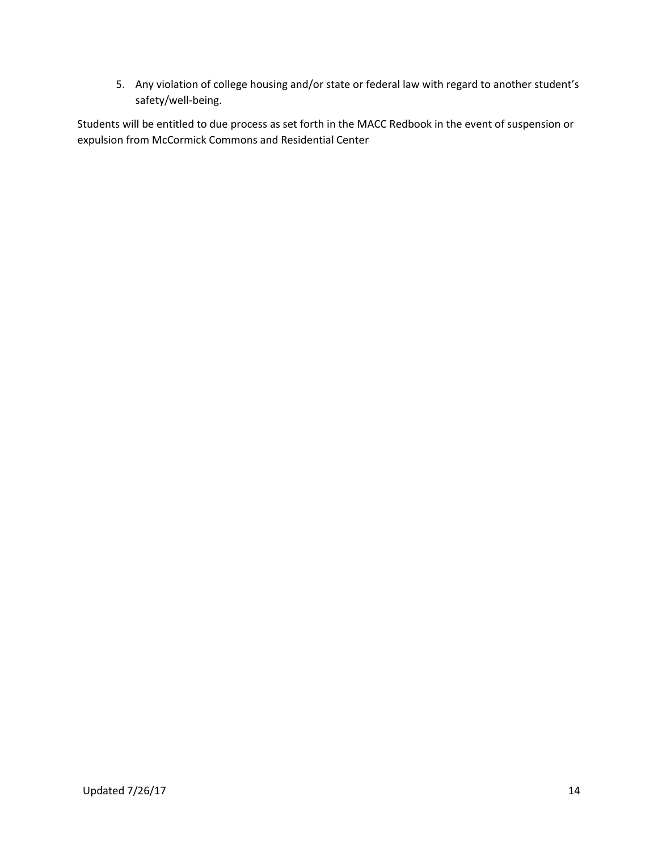5. Any violation of college housing and/or state or federal law with regard to another student's safety/well-being.

Students will be entitled to due process as set forth in the MACC Redbook in the event of suspension or expulsion from McCormick Commons and Residential Center